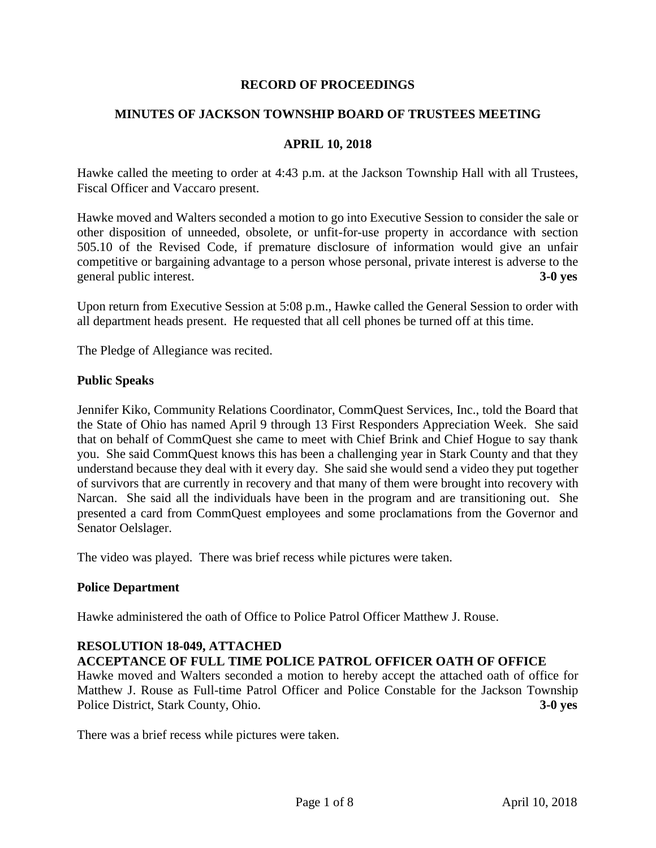## **RECORD OF PROCEEDINGS**

## **MINUTES OF JACKSON TOWNSHIP BOARD OF TRUSTEES MEETING**

#### **APRIL 10, 2018**

Hawke called the meeting to order at 4:43 p.m. at the Jackson Township Hall with all Trustees, Fiscal Officer and Vaccaro present.

Hawke moved and Walters seconded a motion to go into Executive Session to consider the sale or other disposition of unneeded, obsolete, or unfit-for-use property in accordance with section 505.10 of the Revised Code, if premature disclosure of information would give an unfair competitive or bargaining advantage to a person whose personal, private interest is adverse to the general public interest. **3-0 yes**

Upon return from Executive Session at 5:08 p.m., Hawke called the General Session to order with all department heads present. He requested that all cell phones be turned off at this time.

The Pledge of Allegiance was recited.

#### **Public Speaks**

Jennifer Kiko, Community Relations Coordinator, CommQuest Services, Inc., told the Board that the State of Ohio has named April 9 through 13 First Responders Appreciation Week. She said that on behalf of CommQuest she came to meet with Chief Brink and Chief Hogue to say thank you. She said CommQuest knows this has been a challenging year in Stark County and that they understand because they deal with it every day. She said she would send a video they put together of survivors that are currently in recovery and that many of them were brought into recovery with Narcan. She said all the individuals have been in the program and are transitioning out. She presented a card from CommQuest employees and some proclamations from the Governor and Senator Oelslager.

The video was played. There was brief recess while pictures were taken.

## **Police Department**

Hawke administered the oath of Office to Police Patrol Officer Matthew J. Rouse.

## **RESOLUTION 18-049, ATTACHED**

## **ACCEPTANCE OF FULL TIME POLICE PATROL OFFICER OATH OF OFFICE**

Hawke moved and Walters seconded a motion to hereby accept the attached oath of office for Matthew J. Rouse as Full-time Patrol Officer and Police Constable for the Jackson Township Police District, Stark County, Ohio. **3-0 yes**

There was a brief recess while pictures were taken.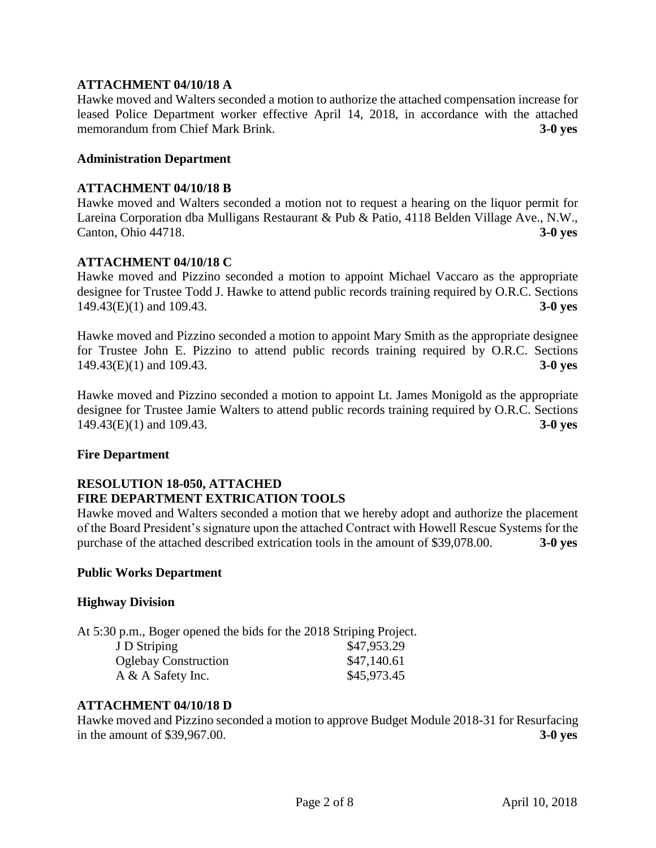## **ATTACHMENT 04/10/18 A**

Hawke moved and Walters seconded a motion to authorize the attached compensation increase for leased Police Department worker effective April 14, 2018, in accordance with the attached memorandum from Chief Mark Brink. **3-0 yes**

#### **Administration Department**

#### **ATTACHMENT 04/10/18 B**

Hawke moved and Walters seconded a motion not to request a hearing on the liquor permit for Lareina Corporation dba Mulligans Restaurant & Pub & Patio, 4118 Belden Village Ave., N.W., Canton, Ohio 44718. **3-0 yes**

## **ATTACHMENT 04/10/18 C**

Hawke moved and Pizzino seconded a motion to appoint Michael Vaccaro as the appropriate designee for Trustee Todd J. Hawke to attend public records training required by O.R.C. Sections 149.43(E)(1) and 109.43. **3-0 yes**

Hawke moved and Pizzino seconded a motion to appoint Mary Smith as the appropriate designee for Trustee John E. Pizzino to attend public records training required by O.R.C. Sections 149.43(E)(1) and 109.43. **3-0 yes**

Hawke moved and Pizzino seconded a motion to appoint Lt. James Monigold as the appropriate designee for Trustee Jamie Walters to attend public records training required by O.R.C. Sections 149.43(E)(1) and 109.43. **3-0 yes**

#### **Fire Department**

## **RESOLUTION 18-050, ATTACHED FIRE DEPARTMENT EXTRICATION TOOLS**

Hawke moved and Walters seconded a motion that we hereby adopt and authorize the placement of the Board President's signature upon the attached Contract with Howell Rescue Systems for the purchase of the attached described extrication tools in the amount of \$39,078.00. **3-0 yes**

#### **Public Works Department**

## **Highway Division**

At 5:30 p.m., Boger opened the bids for the 2018 Striping Project.

| J D Striping                | \$47,953.29 |
|-----------------------------|-------------|
| <b>Oglebay Construction</b> | \$47,140.61 |
| $A \& A$ Safety Inc.        | \$45,973.45 |

#### **ATTACHMENT 04/10/18 D**

Hawke moved and Pizzino seconded a motion to approve Budget Module 2018-31 for Resurfacing in the amount of \$39,967.00. **3-0 yes**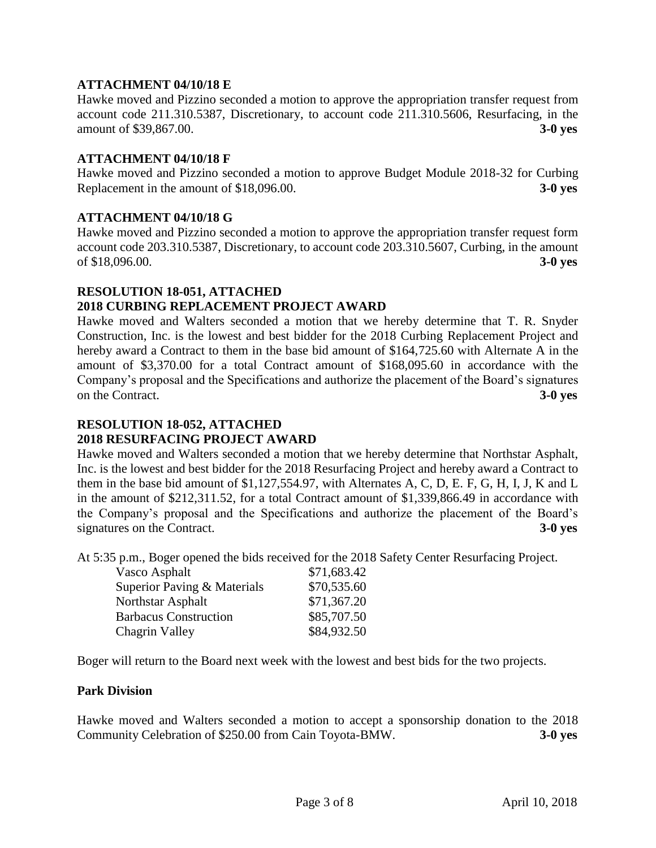## **ATTACHMENT 04/10/18 E**

Hawke moved and Pizzino seconded a motion to approve the appropriation transfer request from account code 211.310.5387, Discretionary, to account code 211.310.5606, Resurfacing, in the amount of \$39,867.00. **3-0 yes**

## **ATTACHMENT 04/10/18 F**

Hawke moved and Pizzino seconded a motion to approve Budget Module 2018-32 for Curbing Replacement in the amount of \$18,096.00. **3-0 yes**

## **ATTACHMENT 04/10/18 G**

Hawke moved and Pizzino seconded a motion to approve the appropriation transfer request form account code 203.310.5387, Discretionary, to account code 203.310.5607, Curbing, in the amount of \$18,096.00. **3-0 yes**

## **RESOLUTION 18-051, ATTACHED**

## **2018 CURBING REPLACEMENT PROJECT AWARD**

Hawke moved and Walters seconded a motion that we hereby determine that T. R. Snyder Construction, Inc. is the lowest and best bidder for the 2018 Curbing Replacement Project and hereby award a Contract to them in the base bid amount of \$164,725.60 with Alternate A in the amount of \$3,370.00 for a total Contract amount of \$168,095.60 in accordance with the Company's proposal and the Specifications and authorize the placement of the Board's signatures on the Contract. **3-0 yes**

#### **RESOLUTION 18-052, ATTACHED 2018 RESURFACING PROJECT AWARD**

Hawke moved and Walters seconded a motion that we hereby determine that Northstar Asphalt, Inc. is the lowest and best bidder for the 2018 Resurfacing Project and hereby award a Contract to them in the base bid amount of \$1,127,554.97, with Alternates A, C, D, E. F, G, H, I, J, K and L in the amount of \$212,311.52, for a total Contract amount of \$1,339,866.49 in accordance with the Company's proposal and the Specifications and authorize the placement of the Board's signatures on the Contract. **3-0 yes**

At 5:35 p.m., Boger opened the bids received for the 2018 Safety Center Resurfacing Project.

| Vasco Asphalt                | \$71,683.42 |
|------------------------------|-------------|
| Superior Paving & Materials  | \$70,535.60 |
| Northstar Asphalt            | \$71,367.20 |
| <b>Barbacus Construction</b> | \$85,707.50 |
| Chagrin Valley               | \$84,932.50 |

Boger will return to the Board next week with the lowest and best bids for the two projects.

## **Park Division**

Hawke moved and Walters seconded a motion to accept a sponsorship donation to the 2018 Community Celebration of \$250.00 from Cain Toyota-BMW. **3-0 yes**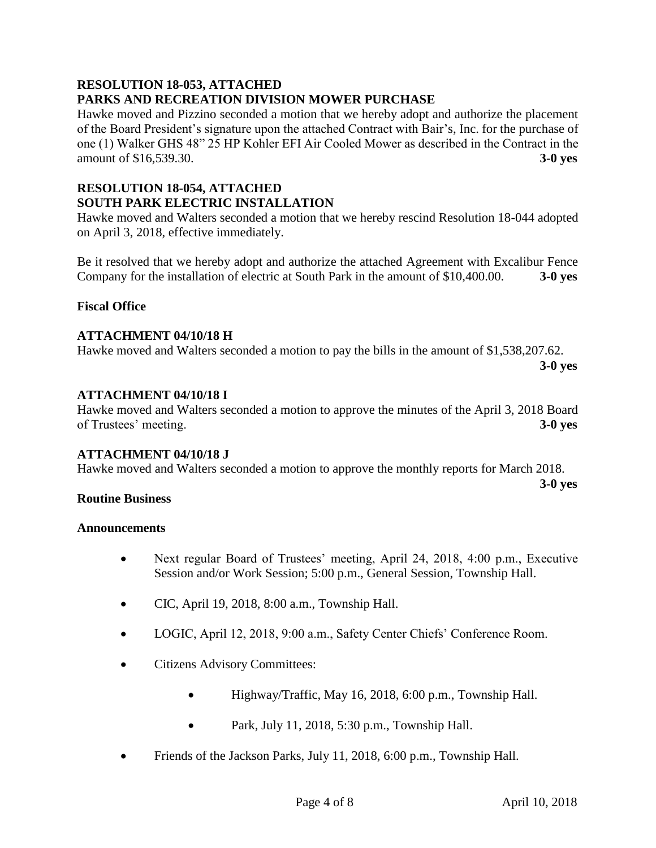## **RESOLUTION 18-053, ATTACHED PARKS AND RECREATION DIVISION MOWER PURCHASE**

Hawke moved and Pizzino seconded a motion that we hereby adopt and authorize the placement of the Board President's signature upon the attached Contract with Bair's, Inc. for the purchase of one (1) Walker GHS 48" 25 HP Kohler EFI Air Cooled Mower as described in the Contract in the amount of \$16,539.30. **3-0 yes**

# **RESOLUTION 18-054, ATTACHED SOUTH PARK ELECTRIC INSTALLATION**

Hawke moved and Walters seconded a motion that we hereby rescind Resolution 18-044 adopted on April 3, 2018, effective immediately.

Be it resolved that we hereby adopt and authorize the attached Agreement with Excalibur Fence Company for the installation of electric at South Park in the amount of \$10,400.00. **3-0 yes**

# **Fiscal Office**

## **ATTACHMENT 04/10/18 H**

Hawke moved and Walters seconded a motion to pay the bills in the amount of \$1,538,207.62.

**3-0 yes**

## **ATTACHMENT 04/10/18 I**

Hawke moved and Walters seconded a motion to approve the minutes of the April 3, 2018 Board of Trustees' meeting. **3-0 yes**

## **ATTACHMENT 04/10/18 J**

Hawke moved and Walters seconded a motion to approve the monthly reports for March 2018.

**3-0 yes**

## **Routine Business**

## **Announcements**

- Next regular Board of Trustees' meeting, April 24, 2018, 4:00 p.m., Executive Session and/or Work Session; 5:00 p.m., General Session, Township Hall.
- CIC, April 19, 2018, 8:00 a.m., Township Hall.
- LOGIC, April 12, 2018, 9:00 a.m., Safety Center Chiefs' Conference Room.
- Citizens Advisory Committees:
	- Highway/Traffic, May 16, 2018, 6:00 p.m., Township Hall.
	- Park, July 11, 2018, 5:30 p.m., Township Hall.
- Friends of the Jackson Parks, July 11, 2018, 6:00 p.m., Township Hall.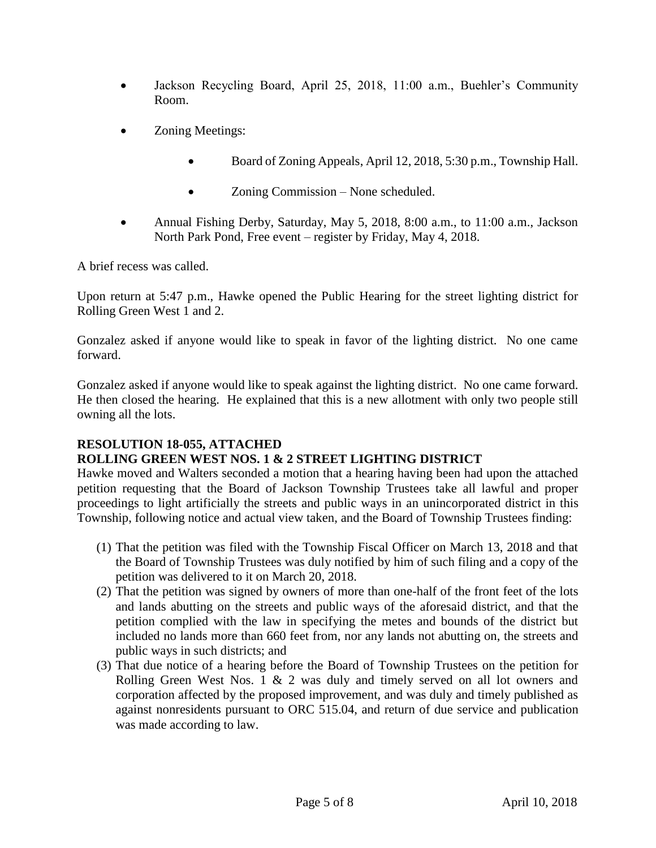- Jackson Recycling Board, April 25, 2018, 11:00 a.m., Buehler's Community Room.
- Zoning Meetings:
	- Board of Zoning Appeals, April 12, 2018, 5:30 p.m., Township Hall.
	- Zoning Commission None scheduled.
- Annual Fishing Derby, Saturday, May 5, 2018, 8:00 a.m., to 11:00 a.m., Jackson North Park Pond, Free event – register by Friday, May 4, 2018.

A brief recess was called.

Upon return at 5:47 p.m., Hawke opened the Public Hearing for the street lighting district for Rolling Green West 1 and 2.

Gonzalez asked if anyone would like to speak in favor of the lighting district. No one came forward.

Gonzalez asked if anyone would like to speak against the lighting district. No one came forward. He then closed the hearing. He explained that this is a new allotment with only two people still owning all the lots.

# **RESOLUTION 18-055, ATTACHED**

# **ROLLING GREEN WEST NOS. 1 & 2 STREET LIGHTING DISTRICT**

Hawke moved and Walters seconded a motion that a hearing having been had upon the attached petition requesting that the Board of Jackson Township Trustees take all lawful and proper proceedings to light artificially the streets and public ways in an unincorporated district in this Township, following notice and actual view taken, and the Board of Township Trustees finding:

- (1) That the petition was filed with the Township Fiscal Officer on March 13, 2018 and that the Board of Township Trustees was duly notified by him of such filing and a copy of the petition was delivered to it on March 20, 2018.
- (2) That the petition was signed by owners of more than one-half of the front feet of the lots and lands abutting on the streets and public ways of the aforesaid district, and that the petition complied with the law in specifying the metes and bounds of the district but included no lands more than 660 feet from, nor any lands not abutting on, the streets and public ways in such districts; and
- (3) That due notice of a hearing before the Board of Township Trustees on the petition for Rolling Green West Nos. 1 & 2 was duly and timely served on all lot owners and corporation affected by the proposed improvement, and was duly and timely published as against nonresidents pursuant to ORC 515.04, and return of due service and publication was made according to law.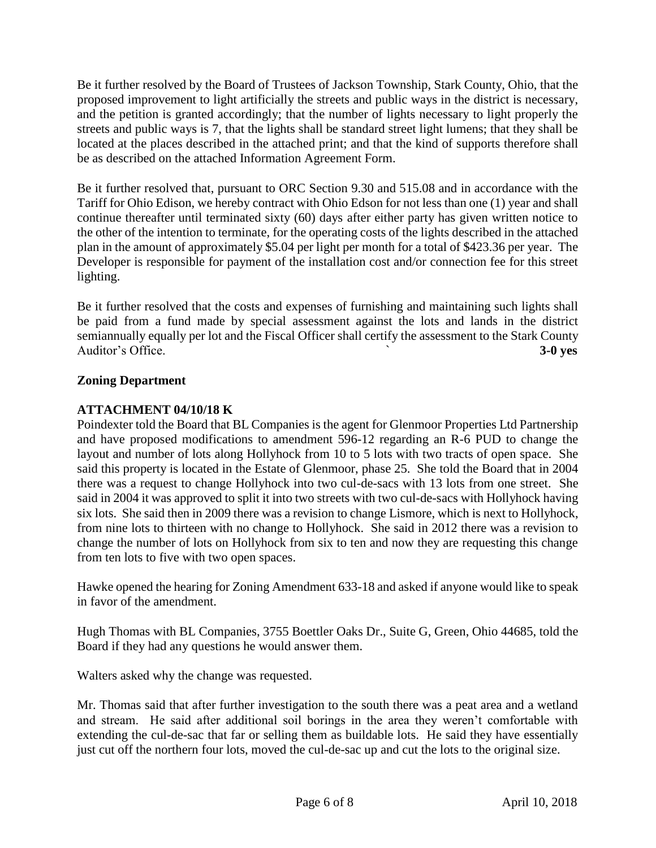Be it further resolved by the Board of Trustees of Jackson Township, Stark County, Ohio, that the proposed improvement to light artificially the streets and public ways in the district is necessary, and the petition is granted accordingly; that the number of lights necessary to light properly the streets and public ways is 7, that the lights shall be standard street light lumens; that they shall be located at the places described in the attached print; and that the kind of supports therefore shall be as described on the attached Information Agreement Form.

Be it further resolved that, pursuant to ORC Section 9.30 and 515.08 and in accordance with the Tariff for Ohio Edison, we hereby contract with Ohio Edson for not less than one (1) year and shall continue thereafter until terminated sixty (60) days after either party has given written notice to the other of the intention to terminate, for the operating costs of the lights described in the attached plan in the amount of approximately \$5.04 per light per month for a total of \$423.36 per year. The Developer is responsible for payment of the installation cost and/or connection fee for this street lighting.

Be it further resolved that the costs and expenses of furnishing and maintaining such lights shall be paid from a fund made by special assessment against the lots and lands in the district semiannually equally per lot and the Fiscal Officer shall certify the assessment to the Stark County Auditor's Office. **3-0 yes** 

# **Zoning Department**

# **ATTACHMENT 04/10/18 K**

Poindexter told the Board that BL Companies is the agent for Glenmoor Properties Ltd Partnership and have proposed modifications to amendment 596-12 regarding an R-6 PUD to change the layout and number of lots along Hollyhock from 10 to 5 lots with two tracts of open space. She said this property is located in the Estate of Glenmoor, phase 25. She told the Board that in 2004 there was a request to change Hollyhock into two cul-de-sacs with 13 lots from one street. She said in 2004 it was approved to split it into two streets with two cul-de-sacs with Hollyhock having six lots. She said then in 2009 there was a revision to change Lismore, which is next to Hollyhock, from nine lots to thirteen with no change to Hollyhock. She said in 2012 there was a revision to change the number of lots on Hollyhock from six to ten and now they are requesting this change from ten lots to five with two open spaces.

Hawke opened the hearing for Zoning Amendment 633-18 and asked if anyone would like to speak in favor of the amendment.

Hugh Thomas with BL Companies, 3755 Boettler Oaks Dr., Suite G, Green, Ohio 44685, told the Board if they had any questions he would answer them.

Walters asked why the change was requested.

Mr. Thomas said that after further investigation to the south there was a peat area and a wetland and stream. He said after additional soil borings in the area they weren't comfortable with extending the cul-de-sac that far or selling them as buildable lots. He said they have essentially just cut off the northern four lots, moved the cul-de-sac up and cut the lots to the original size.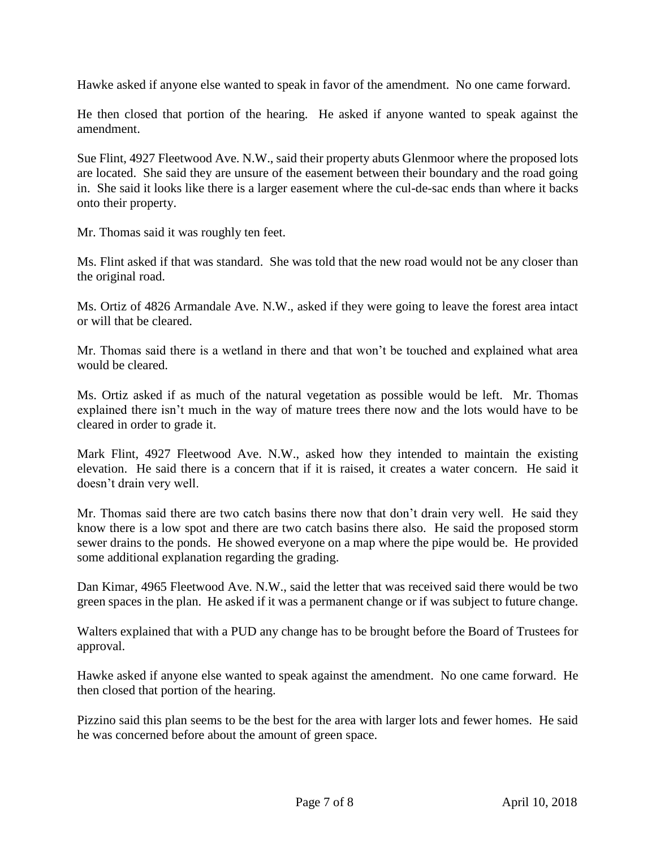Hawke asked if anyone else wanted to speak in favor of the amendment. No one came forward.

He then closed that portion of the hearing. He asked if anyone wanted to speak against the amendment.

Sue Flint, 4927 Fleetwood Ave. N.W., said their property abuts Glenmoor where the proposed lots are located. She said they are unsure of the easement between their boundary and the road going in. She said it looks like there is a larger easement where the cul-de-sac ends than where it backs onto their property.

Mr. Thomas said it was roughly ten feet.

Ms. Flint asked if that was standard. She was told that the new road would not be any closer than the original road.

Ms. Ortiz of 4826 Armandale Ave. N.W., asked if they were going to leave the forest area intact or will that be cleared.

Mr. Thomas said there is a wetland in there and that won't be touched and explained what area would be cleared.

Ms. Ortiz asked if as much of the natural vegetation as possible would be left. Mr. Thomas explained there isn't much in the way of mature trees there now and the lots would have to be cleared in order to grade it.

Mark Flint, 4927 Fleetwood Ave. N.W., asked how they intended to maintain the existing elevation. He said there is a concern that if it is raised, it creates a water concern. He said it doesn't drain very well.

Mr. Thomas said there are two catch basins there now that don't drain very well. He said they know there is a low spot and there are two catch basins there also. He said the proposed storm sewer drains to the ponds. He showed everyone on a map where the pipe would be. He provided some additional explanation regarding the grading.

Dan Kimar, 4965 Fleetwood Ave. N.W., said the letter that was received said there would be two green spaces in the plan. He asked if it was a permanent change or if was subject to future change.

Walters explained that with a PUD any change has to be brought before the Board of Trustees for approval.

Hawke asked if anyone else wanted to speak against the amendment. No one came forward. He then closed that portion of the hearing.

Pizzino said this plan seems to be the best for the area with larger lots and fewer homes. He said he was concerned before about the amount of green space.